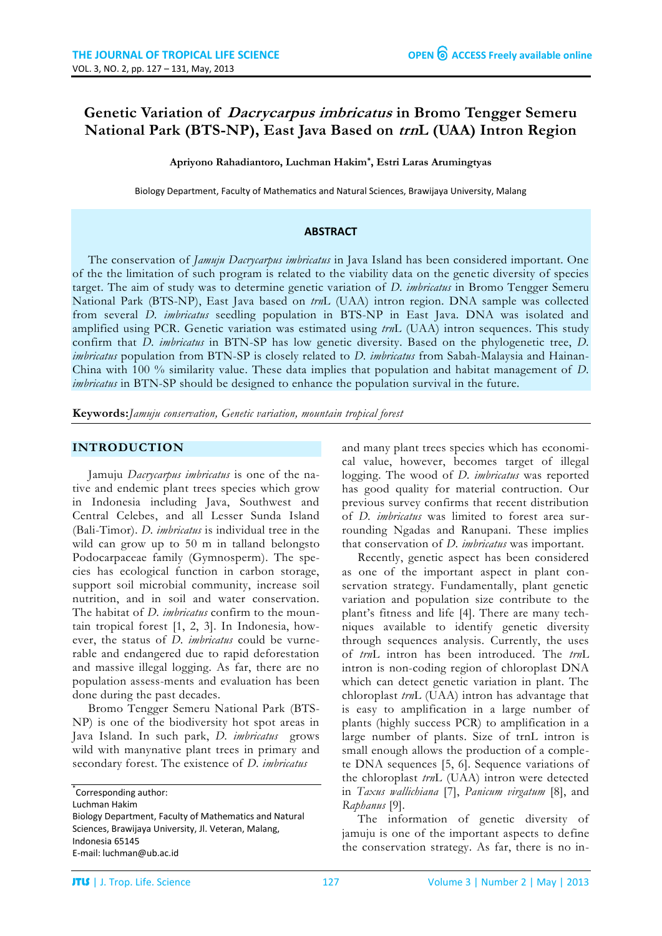# **Genetic Variation of Dacrycarpus imbricatus in Bromo Tengger Semeru National Park (BTS-NP), East Java Based on trnL (UAA) Intron Region**

**Apriyono Rahadiantoro, Luchman Hakim\* , Estri Laras Arumingtyas**

Biology Department, Faculty of Mathematics and Natural Sciences, Brawijaya University, Malang

#### **ABSTRACT**

The conservation of *Jamuju Dacrycarpus imbricatus* in Java Island has been considered important. One of the the limitation of such program is related to the viability data on the genetic diversity of species target. The aim of study was to determine genetic variation of *D. imbricatus* in Bromo Tengger Semeru National Park (BTS-NP), East Java based on *trn*L (UAA) intron region. DNA sample was collected from several *D. imbricatus* seedling population in BTS-NP in East Java. DNA was isolated and amplified using PCR. Genetic variation was estimated using *trn*L (UAA) intron sequences. This study confirm that *D. imbricatus* in BTN-SP has low genetic diversity. Based on the phylogenetic tree, *D. imbricatus* population from BTN-SP is closely related to *D. imbricatus* from Sabah-Malaysia and Hainan-China with 100 % similarity value. These data implies that population and habitat management of *D. imbricatus* in BTN-SP should be designed to enhance the population survival in the future.

**Keywords:***Jamuju conservation, Genetic variation, mountain tropical forest*

#### **INTRODUCTION**

Jamuju *Dacrycarpus imbricatus* is one of the native and endemic plant trees species which grow in Indonesia including Java, Southwest and Central Celebes, and all Lesser Sunda Island (Bali-Timor). *D. imbricatus* is individual tree in the wild can grow up to 50 m in talland belongsto Podocarpaceae family (Gymnosperm). The species has ecological function in carbon storage, support soil microbial community, increase soil nutrition, and in soil and water conservation. The habitat of *D. imbricatus* confirm to the mountain tropical forest [1, 2, 3]. In Indonesia, however, the status of *D. imbricatus* could be vurnerable and endangered due to rapid deforestation and massive illegal logging. As far, there are no population assess-ments and evaluation has been done during the past decades.

Bromo Tengger Semeru National Park (BTS-NP) is one of the biodiversity hot spot areas in Java Island. In such park, *D. imbricatus* grows wild with manynative plant trees in primary and secondary forest. The existence of *D. imbricatus*

Luchman Hakim

and many plant trees species which has economical value, however, becomes target of illegal logging. The wood of *D. imbricatus* was reported has good quality for material contruction. Our previous survey confirms that recent distribution of *D. imbricatus* was limited to forest area surrounding Ngadas and Ranupani. These implies that conservation of *D. imbricatus* was important.

Recently, genetic aspect has been considered as one of the important aspect in plant conservation strategy. Fundamentally, plant genetic variation and population size contribute to the plant's fitness and life [4]. There are many techniques available to identify genetic diversity through sequences analysis. Currently, the uses of *trn*L intron has been introduced. The *trn*L intron is non-coding region of chloroplast DNA which can detect genetic variation in plant. The chloroplast *trn*L (UAA) intron has advantage that is easy to amplification in a large number of plants (highly success PCR) to amplification in a large number of plants. Size of trnL intron is small enough allows the production of a complete DNA sequences [5, 6]. Sequence variations of the chloroplast *trn*L (UAA) intron were detected in *Taxus wallichiana* [7], *Panicum virgatum* [8], and *Raphanus* [9].

The information of genetic diversity of jamuju is one of the important aspects to define the conservation strategy. As far, there is no in-

<sup>\*</sup> Corresponding author:

Biology Department, Faculty of Mathematics and Natural Sciences, Brawijaya University, Jl. Veteran, Malang, Indonesia 65145 E-mail: luchman@ub.ac.id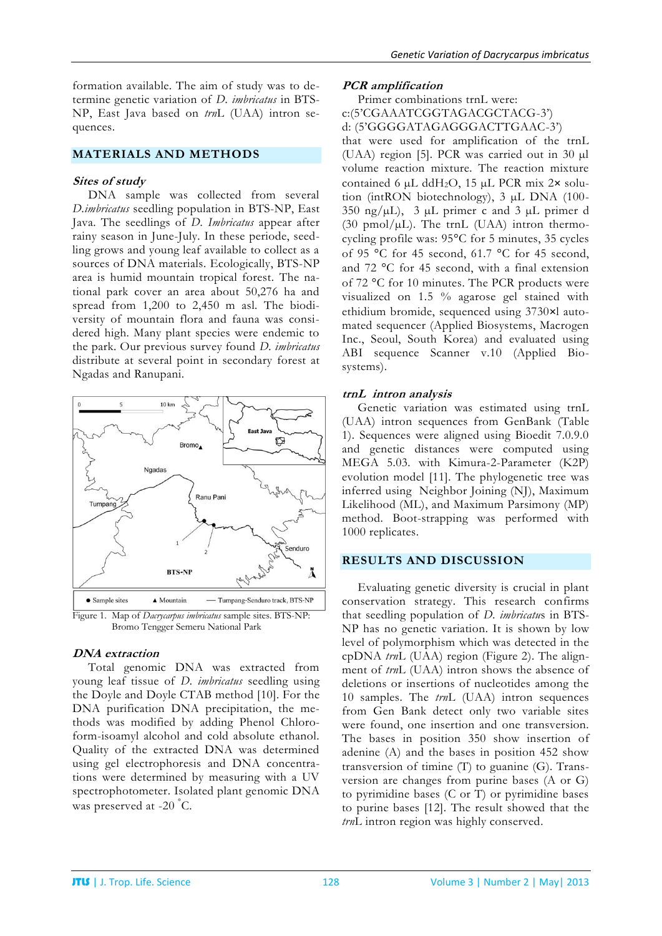formation available. The aim of study was to determine genetic variation of *D. imbricatus* in BTS-NP, East Java based on *trn*L (UAA) intron sequences.

#### **MATERIALS AND METHODS**

#### **Sites of study**

DNA sample was collected from several *D.imbricatus* seedling population in BTS-NP, East Java. The seedlings of *D. Imbricatus* appear after rainy season in June-July. In these periode, seedling grows and young leaf available to collect as a sources of DNA materials. Ecologically, BTS-NP area is humid mountain tropical forest. The national park cover an area about 50,276 ha and spread from 1,200 to 2,450 m asl. The biodiversity of mountain flora and fauna was considered high. Many plant species were endemic to the park. Our previous survey found *D. imbricatus* distribute at several point in secondary forest at Ngadas and Ranupani.



Bromo Tengger Semeru National Park

## **DNA extraction**

Total genomic DNA was extracted from young leaf tissue of *D. imbricatus* seedling using the Doyle and Doyle CTAB method [10]. For the DNA purification DNA precipitation, the methods was modified by adding Phenol Chloroform-isoamyl alcohol and cold absolute ethanol. Quality of the extracted DNA was determined using gel electrophoresis and DNA concentrations were determined by measuring with a UV spectrophotometer. Isolated plant genomic DNA was preserved at -20 °C.

#### **PCR amplification**

Primer combinations trnL were: c:(5'CGAAATCGGTAGACGCTACG-3') d: (5'GGGGATAGAGGGACTTGAAC-3') that were used for amplification of the trnL (UAA) region [5]. PCR was carried out in 30 µl volume reaction mixture. The reaction mixture contained 6  $\mu$ L ddH<sub>2</sub>O, 15  $\mu$ L PCR mix 2 $\times$  solution (intRON biotechnology), 3 µL DNA (100-  $350 \text{ ng/}\mu\text{L}$ ,  $3 \mu\text{L}$  primer c and  $3 \mu\text{L}$  primer d (30 pmol/ $\mu$ L). The trnL (UAA) intron thermocycling profile was: 95°C for 5 minutes, 35 cycles of 95 °C for 45 second, 61.7 °C for 45 second, and 72 °C for 45 second, with a final extension of 72 °C for 10 minutes. The PCR products were visualized on 1.5 % agarose gel stained with ethidium bromide, sequenced using 3730×l automated sequencer (Applied Biosystems, Macrogen Inc., Seoul, South Korea) and evaluated using ABI sequence Scanner v.10 (Applied Biosystems).

## **trnL intron analysis**

Genetic variation was estimated using trnL (UAA) intron sequences from GenBank (Table 1). Sequences were aligned using Bioedit 7.0.9.0 and genetic distances were computed using MEGA 5.03. with Kimura-2-Parameter (K2P) evolution model [11]. The phylogenetic tree was inferred using Neighbor Joining (NJ), Maximum Likelihood (ML), and Maximum Parsimony (MP) method. Boot-strapping was performed with 1000 replicates.

## **RESULTS AND DISCUSSION**

Evaluating genetic diversity is crucial in plant conservation strategy. This research confirms that seedling population of *D. imbricatu*s in BTS-NP has no genetic variation. It is shown by low level of polymorphism which was detected in the cpDNA *trn*L (UAA) region (Figure 2). The alignment of *trn*L (UAA) intron shows the absence of deletions or insertions of nucleotides among the 10 samples. The *trn*L (UAA) intron sequences from Gen Bank detect only two variable sites were found, one insertion and one transversion. The bases in position 350 show insertion of adenine (A) and the bases in position 452 show transversion of timine (T) to guanine (G). Transversion are changes from purine bases (A or G) to pyrimidine bases (C or T) or pyrimidine bases to purine bases [12]. The result showed that the *trn*L intron region was highly conserved.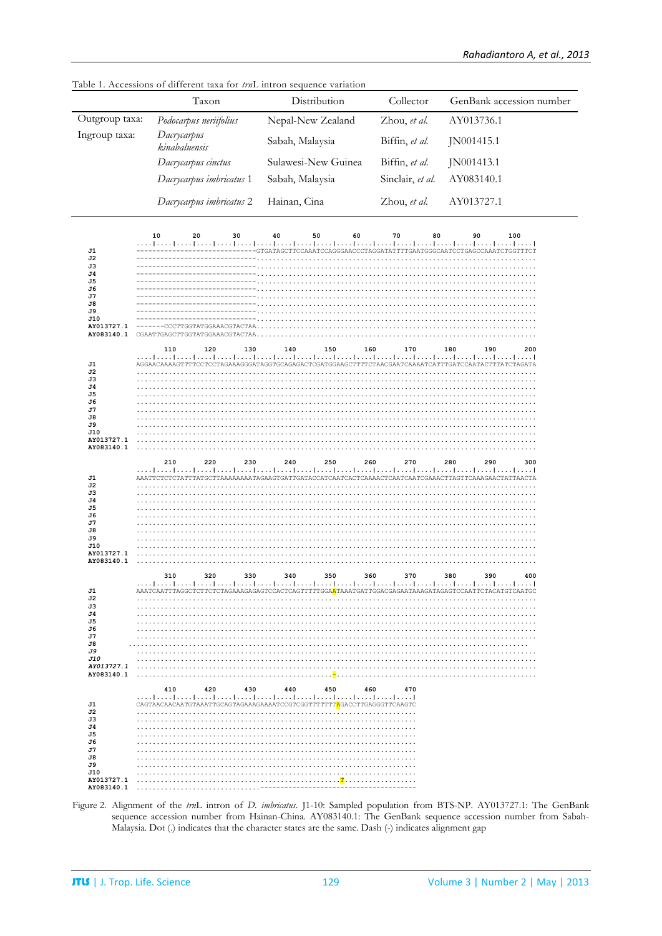|                                                                                                                                                                  | Taxon                                                                                                                                                                                                                                                                                                                                                                                     | Distribution                                                                                                     | Collector        | GenBank accession number                                     |
|------------------------------------------------------------------------------------------------------------------------------------------------------------------|-------------------------------------------------------------------------------------------------------------------------------------------------------------------------------------------------------------------------------------------------------------------------------------------------------------------------------------------------------------------------------------------|------------------------------------------------------------------------------------------------------------------|------------------|--------------------------------------------------------------|
| Outgroup taxa:                                                                                                                                                   | Podocarpus neriifolius                                                                                                                                                                                                                                                                                                                                                                    | Nepal-New Zealand                                                                                                | Zhou, et al.     | AY013736.1                                                   |
| Ingroup taxa:                                                                                                                                                    | Dacrycarpus<br>kinabaluensis                                                                                                                                                                                                                                                                                                                                                              | Sabah, Malaysia                                                                                                  | Biffin, et al.   | JN001415.1                                                   |
|                                                                                                                                                                  | Dacrycarpus cinctus                                                                                                                                                                                                                                                                                                                                                                       | Sulawesi-New Guinea                                                                                              | Biffin, et al.   | JN001413.1                                                   |
|                                                                                                                                                                  | Dacrycarpus imbricatus 1                                                                                                                                                                                                                                                                                                                                                                  | Sabah, Malaysia                                                                                                  | Sinclair, et al. | AY083140.1                                                   |
|                                                                                                                                                                  | Dacrycarpus imbricatus 2                                                                                                                                                                                                                                                                                                                                                                  | Hainan, Cina                                                                                                     | Zhou, et al.     | AY013727.1                                                   |
| J1<br>J2<br>J3<br>J4<br>J5<br>J6<br>J7<br>J8<br>J9<br>J10<br>AY013727.1<br>AY083140.1<br>J1<br>J2<br>JЗ<br>J4<br>J5<br>J6<br>J7<br>J8<br>J9<br>J10<br>AY013727.1 | 10<br>20<br>30<br>المتما بمترا بمترا بمترا بمترا بمترا بمترا بمترا بمترا بمترا بمترا بمترا بمترا بمترا بمتر<br>-------CCCTTGGTATGGAAACGTACTAA<br>110<br>120<br>130<br>المتما متما وتتما بمتما بمتما بمتما بمتما بمتما بمتما بمتما بمتما بمتما بمتما بمتما بمتما بمتما بمتما بمتما<br>AGGAACAAAAGTTTTCCTCCTAGAAAGGGATAGGTGCAGAGACTCGATGGAAGCTTTTCTAACGAATCAAAATCATTTGATCCAATACTTTATCTAGATA | 50<br>60<br>40<br>---GTGATAGCTTCCAAATCCAGGGAACCCTAGGATATTTTGAATGGGCAATCCTGAGCCAAATCTGGTTTCT<br>140<br>150<br>160 | 70<br>80<br>170  | 90<br>100<br>المتما بتبط بمتما بمتطعنية<br>180<br>190<br>200 |
| AY083140.1<br>J1<br>J2<br>J3<br>J4<br>J5<br>J6<br>J7<br>J8<br>J9<br>J10<br>AY013727.1                                                                            | .<br>210<br>220<br>230<br>المتما بمتطرقته المتما بمتما بمتما بمتمل بمتمل بمتما بمتما بمتما بمتما بمتما بمتما بمتما بمتما بمتما بمتم                                                                                                                                                                                                                                                       | 240<br>250<br>260                                                                                                | 270              | 280<br>290<br>300                                            |
| AY083140.1<br>J1<br>J2<br>J3<br>J4<br>J5<br>J6<br>J7<br>J8<br>J9<br>J10<br>AY013727.1                                                                            | 310<br>320<br>330<br>المتما بمتطرقتنا بمتطعميا بمتطعمنا بمنطقتنا بمباعيتنا بمتطعما بمباغيتنا بمباعيتنا بمباعيتنا بمباعث                                                                                                                                                                                                                                                                   | 360<br>340<br>350                                                                                                | 370              | 380<br>390<br>400                                            |
| J1<br>J2<br>J3<br>J4<br>J5<br>J6<br>J7<br>J8<br>J9<br>J10<br>AY013727.1<br>AY083140.1                                                                            | 410<br>420<br>430<br>المتما بمتطربين المتما بمتمل بمتطرب والمتما بمتمل بمتطرب بملتم المتمارينية<br>CAGTAACAACAATGTAAATTGCAGTAGAAAGAAAATCCGTCGGTTTTTTT <mark>A</mark> GACCTTGAGGGTTCAAGTC                                                                                                                                                                                                  | 440<br>450<br>460                                                                                                | 470              |                                                              |

Table 1. Accessions of different taxa for trnL intron sequence variation

Figure 2. Alignment of the trnL intron of D. imbricatus. J1-10: Sampled population from BTS-NP. AY013727.1: The GenBank sequence accession number from Hainan-China. AY083140.1: The GenBank sequence accession number from Sabah-Malaysia. Dot (.) indicates that the character states are the same. Dash (-) indicates alignment gap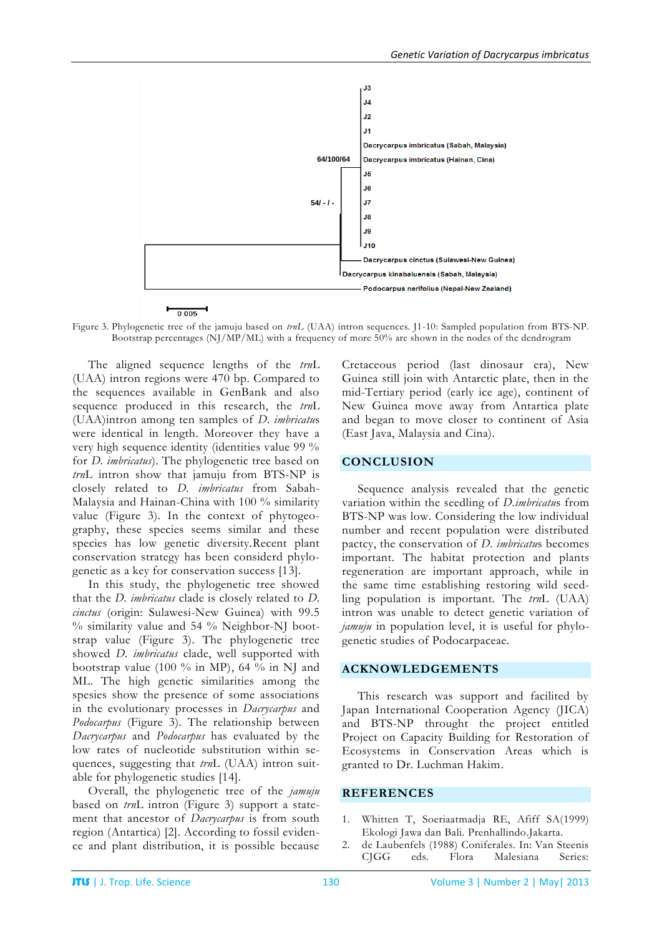

Figure 3. Phylogenetic tree of the jamuju based on *trnL* (UAA) intron sequences. J1-10: Sampled population from BTS-NP. Bootstrap percentages (NJ/MP/ML) with a frequency of more 50% are shown in the nodes of the dendrogram

The aligned sequence lengths of the *trn*L (UAA) intron regions were 470 bp. Compared to the sequences available in GenBank and also sequence produced in this research, the *trn*L (UAA)intron among ten samples of *D. imbricatu*s were identical in length. Moreover they have a very high sequence identity (identities value 99 % for *D. imbricatus*). The phylogenetic tree based on *trn*L intron show that jamuju from BTS-NP is closely related to *D. imbricatus* from Sabah-Malaysia and Hainan-China with 100 % similarity value (Figure 3). In the context of phytogeography, these species seems similar and these species has low genetic diversity.Recent plant conservation strategy has been considerd phylogenetic as a key for conservation success [13].

In this study, the phylogenetic tree showed that the *D. imbricatus* clade is closely related to *D. cinctus* (origin: Sulawesi-New Guinea) with 99.5 % similarity value and 54 % Neighbor-NJ bootstrap value (Figure 3). The phylogenetic tree showed *D. imbricatus* clade, well supported with bootstrap value (100  $\%$  in MP), 64  $\%$  in NJ and ML. The high genetic similarities among the spesies show the presence of some associations in the evolutionary processes in *Dacrycarpus* and *Podocarpus* (Figure 3). The relationship between *Dacrycarpus* and *Podocarpus* has evaluated by the low rates of nucleotide substitution within sequences, suggesting that *trn*L (UAA) intron suitable for phylogenetic studies [14].

Overall, the phylogenetic tree of the *jamuju* based on *trn*L intron (Figure 3) support a statement that ancestor of *Dacrycarpus* is from south region (Antartica) [2]. According to fossil evidence and plant distribution, it is possible because

Cretaceous period (last dinosaur era), New Guinea still join with Antarctic plate, then in the mid-Tertiary period (early ice age), continent of New Guinea move away from Antartica plate and began to move closer to continent of Asia (East Java, Malaysia and Cina).

#### **CONCLUSION**

Sequence analysis revealed that the genetic variation within the seedling of *D.imbricatu*s from BTS-NP was low. Considering the low individual number and recent population were distributed pactcy, the conservation of *D. imbricatu*s becomes important. The habitat protection and plants regeneration are important approach, while in the same time establishing restoring wild seedling population is important. The *trn*L (UAA) intron was unable to detect genetic variation of *jamuju* in population level, it is useful for phylogenetic studies of Podocarpaceae.

#### **ACKNOWLEDGEMENTS**

This research was support and facilited by Japan International Cooperation Agency (JICA) and BTS-NP throught the project entitled Project on Capacity Building for Restoration of Ecosystems in Conservation Areas which is granted to Dr. Luchman Hakim.

#### **REFERENCES**

- 1. Whitten T, Soeriaatmadja RE, Afiff SA(1999) Ekologi Jawa dan Bali. Prenhallindo.Jakarta.
- 2. de Laubenfels (1988) Coniferales. In: Van Steenis CJGG eds. Flora Malesiana Series: